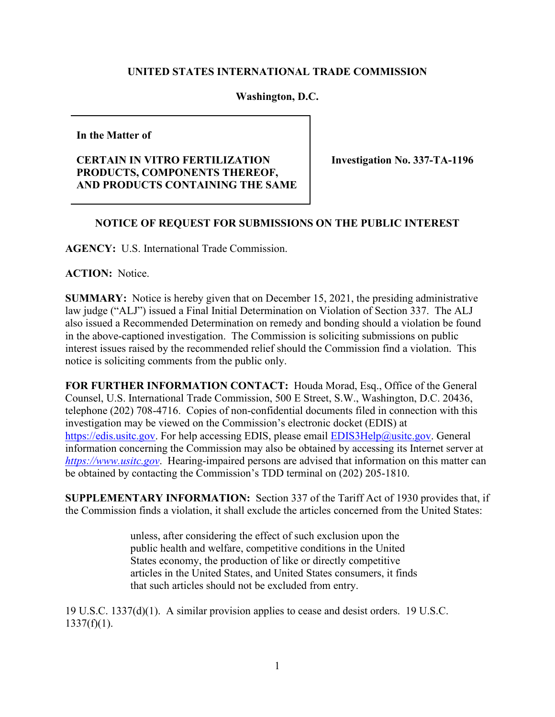## **UNITED STATES INTERNATIONAL TRADE COMMISSION**

## **Washington, D.C.**

**In the Matter of** 

## **CERTAIN IN VITRO FERTILIZATION PRODUCTS, COMPONENTS THEREOF, AND PRODUCTS CONTAINING THE SAME**

**Investigation No. 337-TA-1196**

## **NOTICE OF REQUEST FOR SUBMISSIONS ON THE PUBLIC INTEREST**

**AGENCY:** U.S. International Trade Commission.

**ACTION:** Notice.

**SUMMARY:** Notice is hereby given that on December 15, 2021, the presiding administrative law judge ("ALJ") issued a Final Initial Determination on Violation of Section 337. The ALJ also issued a Recommended Determination on remedy and bonding should a violation be found in the above-captioned investigation. The Commission is soliciting submissions on public interest issues raised by the recommended relief should the Commission find a violation. This notice is soliciting comments from the public only.

**FOR FURTHER INFORMATION CONTACT:** Houda Morad, Esq., Office of the General Counsel, U.S. International Trade Commission, 500 E Street, S.W., Washington, D.C. 20436, telephone (202) 708-4716. Copies of non-confidential documents filed in connection with this investigation may be viewed on the Commission's electronic docket (EDIS) at [https://edis.usitc.gov.](https://edis.usitc.gov/) For help accessing EDIS, please email **EDIS3Help@usitc.gov**. General information concerning the Commission may also be obtained by accessing its Internet server at *[https://www.usitc.gov](https://www.usitc.gov/)*. Hearing-impaired persons are advised that information on this matter can be obtained by contacting the Commission's TDD terminal on (202) 205-1810.

**SUPPLEMENTARY INFORMATION:** Section 337 of the Tariff Act of 1930 provides that, if the Commission finds a violation, it shall exclude the articles concerned from the United States:

> unless, after considering the effect of such exclusion upon the public health and welfare, competitive conditions in the United States economy, the production of like or directly competitive articles in the United States, and United States consumers, it finds that such articles should not be excluded from entry.

19 U.S.C. 1337(d)(1). A similar provision applies to cease and desist orders. 19 U.S.C.  $1337(f)(1)$ .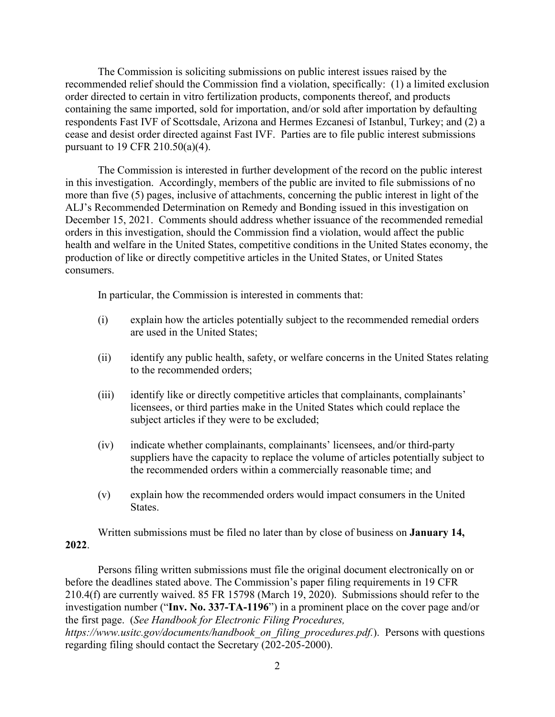The Commission is soliciting submissions on public interest issues raised by the recommended relief should the Commission find a violation, specifically: (1) a limited exclusion order directed to certain in vitro fertilization products, components thereof, and products containing the same imported, sold for importation, and/or sold after importation by defaulting respondents Fast IVF of Scottsdale, Arizona and Hermes Ezcanesi of Istanbul, Turkey; and (2) a cease and desist order directed against Fast IVF. Parties are to file public interest submissions pursuant to 19 CFR 210.50(a)(4).

The Commission is interested in further development of the record on the public interest in this investigation. Accordingly, members of the public are invited to file submissions of no more than five (5) pages, inclusive of attachments, concerning the public interest in light of the ALJ's Recommended Determination on Remedy and Bonding issued in this investigation on December 15, 2021.Comments should address whether issuance of the recommended remedial orders in this investigation, should the Commission find a violation, would affect the public health and welfare in the United States, competitive conditions in the United States economy, the production of like or directly competitive articles in the United States, or United States consumers.

In particular, the Commission is interested in comments that:

- (i) explain how the articles potentially subject to the recommended remedial orders are used in the United States;
- (ii) identify any public health, safety, or welfare concerns in the United States relating to the recommended orders;
- (iii) identify like or directly competitive articles that complainants, complainants' licensees, or third parties make in the United States which could replace the subject articles if they were to be excluded;
- (iv) indicate whether complainants, complainants' licensees, and/or third-party suppliers have the capacity to replace the volume of articles potentially subject to the recommended orders within a commercially reasonable time; and
- (v) explain how the recommended orders would impact consumers in the United States.

Written submissions must be filed no later than by close of business on **January 14, 2022**.

Persons filing written submissions must file the original document electronically on or before the deadlines stated above. The Commission's paper filing requirements in 19 CFR 210.4(f) are currently waived. 85 FR 15798 (March 19, 2020). Submissions should refer to the investigation number ("**Inv. No. 337-TA-1196**") in a prominent place on the cover page and/or the first page. (*See Handbook for Electronic Filing Procedures,* 

*https://www.usitc.gov/documents/handbook\_on\_filing\_procedures.pdf.*). Persons with questions regarding filing should contact the Secretary (202-205-2000).